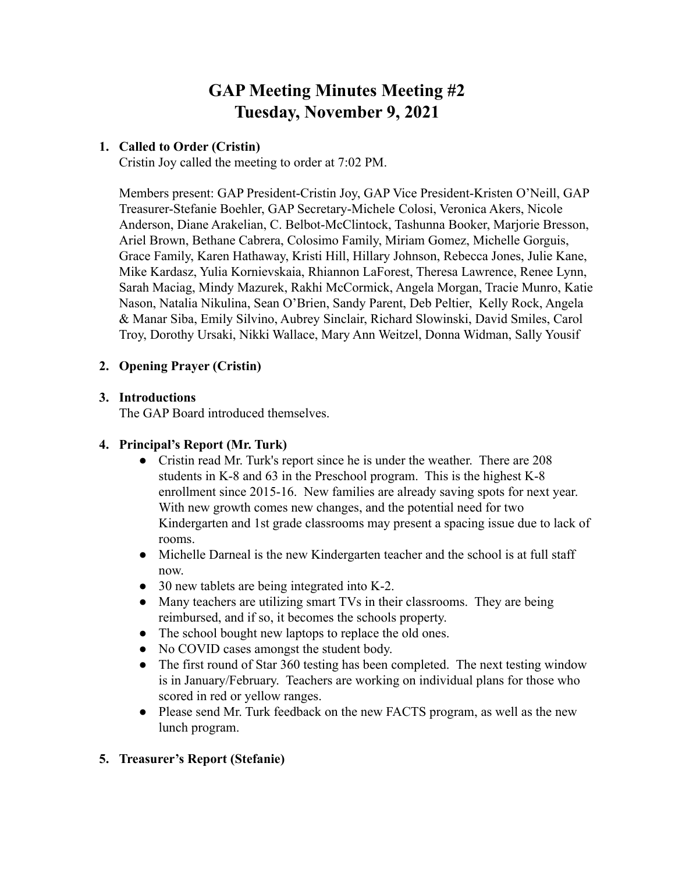# **GAP Meeting Minutes Meeting #2 Tuesday, November 9, 2021**

## **1. Called to Order (Cristin)**

Cristin Joy called the meeting to order at 7:02 PM.

Members present: GAP President-Cristin Joy, GAP Vice President-Kristen O'Neill, GAP Treasurer-Stefanie Boehler, GAP Secretary-Michele Colosi, Veronica Akers, Nicole Anderson, Diane Arakelian, C. Belbot-McClintock, Tashunna Booker, Marjorie Bresson, Ariel Brown, Bethane Cabrera, Colosimo Family, Miriam Gomez, Michelle Gorguis, Grace Family, Karen Hathaway, Kristi Hill, Hillary Johnson, Rebecca Jones, Julie Kane, Mike Kardasz, Yulia Kornievskaia, Rhiannon LaForest, Theresa Lawrence, Renee Lynn, Sarah Maciag, Mindy Mazurek, Rakhi McCormick, Angela Morgan, Tracie Munro, Katie Nason, Natalia Nikulina, Sean O'Brien, Sandy Parent, Deb Peltier, Kelly Rock, Angela & Manar Siba, Emily Silvino, Aubrey Sinclair, Richard Slowinski, David Smiles, Carol Troy, Dorothy Ursaki, Nikki Wallace, Mary Ann Weitzel, Donna Widman, Sally Yousif

## **2. Opening Prayer (Cristin)**

## **3. Introductions**

The GAP Board introduced themselves.

## **4. Principal's Report (Mr. Turk)**

- Cristin read Mr. Turk's report since he is under the weather. There are 208 students in K-8 and 63 in the Preschool program. This is the highest K-8 enrollment since 2015-16. New families are already saving spots for next year. With new growth comes new changes, and the potential need for two Kindergarten and 1st grade classrooms may present a spacing issue due to lack of rooms.
- Michelle Darneal is the new Kindergarten teacher and the school is at full staff now.
- 30 new tablets are being integrated into K-2.
- Many teachers are utilizing smart TVs in their classrooms. They are being reimbursed, and if so, it becomes the schools property.
- The school bought new laptops to replace the old ones.
- No COVID cases amongst the student body.
- The first round of Star 360 testing has been completed. The next testing window is in January/February. Teachers are working on individual plans for those who scored in red or yellow ranges.
- Please send Mr. Turk feedback on the new FACTS program, as well as the new lunch program.

# **5. Treasurer's Report (Stefanie)**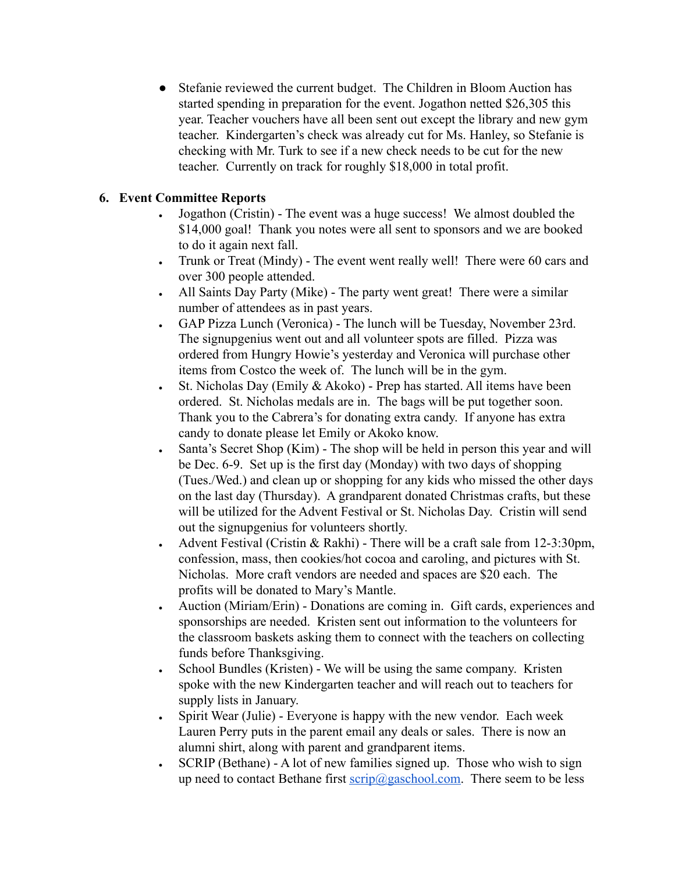• Stefanie reviewed the current budget. The Children in Bloom Auction has started spending in preparation for the event. Jogathon netted \$26,305 this year. Teacher vouchers have all been sent out except the library and new gym teacher. Kindergarten's check was already cut for Ms. Hanley, so Stefanie is checking with Mr. Turk to see if a new check needs to be cut for the new teacher. Currently on track for roughly \$18,000 in total profit.

# **6. Event Committee Reports**

- Jogathon (Cristin) The event was a huge success! We almost doubled the \$14,000 goal! Thank you notes were all sent to sponsors and we are booked to do it again next fall.
- Trunk or Treat (Mindy) The event went really well! There were 60 cars and over 300 people attended.
- All Saints Day Party (Mike) The party went great! There were a similar number of attendees as in past years.
- GAP Pizza Lunch (Veronica) The lunch will be Tuesday, November 23rd. The signupgenius went out and all volunteer spots are filled. Pizza was ordered from Hungry Howie's yesterday and Veronica will purchase other items from Costco the week of. The lunch will be in the gym.
- St. Nicholas Day (Emily  $& Akoko$ ) Prep has started. All items have been ordered. St. Nicholas medals are in. The bags will be put together soon. Thank you to the Cabrera's for donating extra candy. If anyone has extra candy to donate please let Emily or Akoko know.
- Santa's Secret Shop (Kim)  $-$  The shop will be held in person this year and will be Dec. 6-9. Set up is the first day (Monday) with two days of shopping (Tues./Wed.) and clean up or shopping for any kids who missed the other days on the last day (Thursday). A grandparent donated Christmas crafts, but these will be utilized for the Advent Festival or St. Nicholas Day. Cristin will send out the signupgenius for volunteers shortly.
- Advent Festival (Cristin & Rakhi) There will be a craft sale from  $12-3:30 \text{pm}$ , confession, mass, then cookies/hot cocoa and caroling, and pictures with St. Nicholas. More craft vendors are needed and spaces are \$20 each. The profits will be donated to Mary's Mantle.
- Auction (Miriam/Erin) Donations are coming in. Gift cards, experiences and sponsorships are needed. Kristen sent out information to the volunteers for the classroom baskets asking them to connect with the teachers on collecting funds before Thanksgiving.
- School Bundles (Kristen) We will be using the same company. Kristen spoke with the new Kindergarten teacher and will reach out to teachers for supply lists in January.
- Spirit Wear (Julie) Everyone is happy with the new vendor. Each week Lauren Perry puts in the parent email any deals or sales. There is now an alumni shirt, along with parent and grandparent items.
- $\cdot$  SCRIP (Bethane) A lot of new families signed up. Those who wish to sign up need to contact Bethane first  $\frac{\text{scrip}(a)}{g}$  gaschool.com. There seem to be less